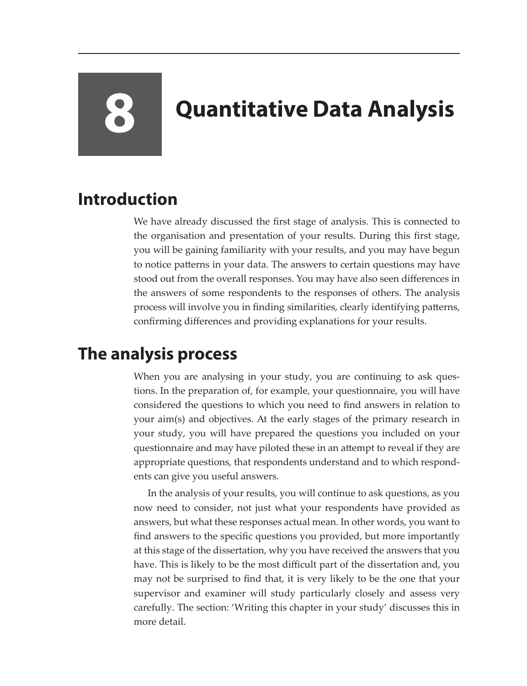# **8 Quantitative Data Analysis**

## **Introduction**

We have already discussed the first stage of analysis. This is connected to the organisation and presentation of your results. During this first stage, you will be gaining familiarity with your results, and you may have begun to notice patterns in your data. The answers to certain questions may have stood out from the overall responses. You may have also seen differences in the answers of some respondents to the responses of others. The analysis process will involve you in finding similarities, clearly identifying patterns, confirming differences and providing explanations for your results.

## **The analysis process**

When you are analysing in your study, you are continuing to ask questions. In the preparation of, for example, your questionnaire, you will have considered the questions to which you need to find answers in relation to your aim(s) and objectives. At the early stages of the primary research in your study, you will have prepared the questions you included on your questionnaire and may have piloted these in an attempt to reveal if they are appropriate questions, that respondents understand and to which respondents can give you useful answers.

In the analysis of your results, you will continue to ask questions, as you now need to consider, not just what your respondents have provided as answers, but what these responses actual mean. In other words, you want to find answers to the specific questions you provided, but more importantly at this stage of the dissertation, why you have received the answers that you have. This is likely to be the most difficult part of the dissertation and, you may not be surprised to find that, it is very likely to be the one that your supervisor and examiner will study particularly closely and assess very carefully. The section: 'Writing this chapter in your study' discusses this in more detail.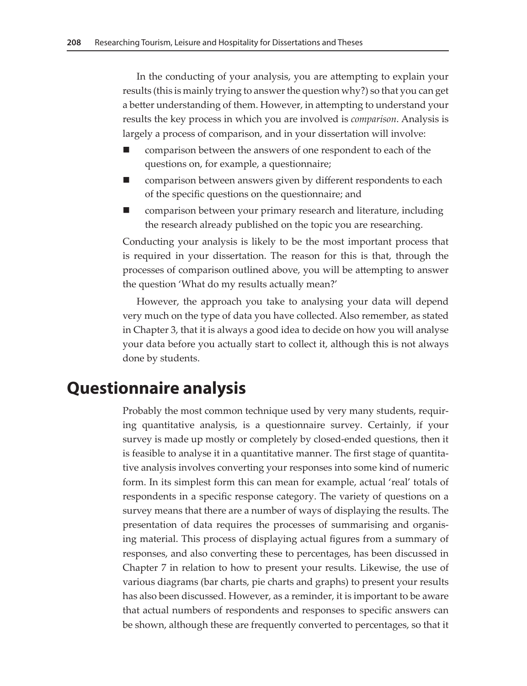In the conducting of your analysis, you are attempting to explain your results (this is mainly trying to answer the question why?) so that you can get a better understanding of them. However, in attempting to understand your results the key process in which you are involved is *comparison*. Analysis is largely a process of comparison, and in your dissertation will involve:

- comparison between the answers of one respondent to each of the questions on, for example, a questionnaire;
- comparison between answers given by different respondents to each of the specific questions on the questionnaire; and
- comparison between your primary research and literature, including the research already published on the topic you are researching.

Conducting your analysis is likely to be the most important process that is required in your dissertation. The reason for this is that, through the processes of comparison outlined above, you will be attempting to answer the question 'What do my results actually mean?'

However, the approach you take to analysing your data will depend very much on the type of data you have collected. Also remember, as stated in Chapter 3, that it is always a good idea to decide on how you will analyse your data before you actually start to collect it, although this is not always done by students.

### **Questionnaire analysis**

Probably the most common technique used by very many students, requiring quantitative analysis, is a questionnaire survey. Certainly, if your survey is made up mostly or completely by closed-ended questions, then it is feasible to analyse it in a quantitative manner. The first stage of quantitative analysis involves converting your responses into some kind of numeric form. In its simplest form this can mean for example, actual 'real' totals of respondents in a specific response category. The variety of questions on a survey means that there are a number of ways of displaying the results. The presentation of data requires the processes of summarising and organising material. This process of displaying actual figures from a summary of responses, and also converting these to percentages, has been discussed in Chapter 7 in relation to how to present your results. Likewise, the use of various diagrams (bar charts, pie charts and graphs) to present your results has also been discussed. However, as a reminder, it is important to be aware that actual numbers of respondents and responses to specific answers can be shown, although these are frequently converted to percentages, so that it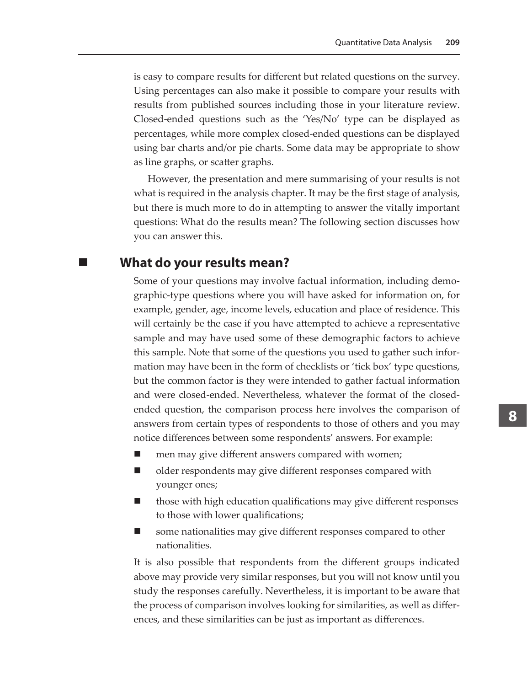is easy to compare results for different but related questions on the survey. Using percentages can also make it possible to compare your results with results from published sources including those in your literature review. Closed-ended questions such as the 'Yes/No' type can be displayed as percentages, while more complex closed-ended questions can be displayed using bar charts and/or pie charts. Some data may be appropriate to show as line graphs, or scatter graphs.

However, the presentation and mere summarising of your results is not what is required in the analysis chapter. It may be the first stage of analysis, but there is much more to do in attempting to answer the vitally important questions: What do the results mean? The following section discusses how you can answer this.

#### **What do your results mean?**

Some of your questions may involve factual information, including demographic-type questions where you will have asked for information on, for example, gender, age, income levels, education and place of residence. This will certainly be the case if you have attempted to achieve a representative sample and may have used some of these demographic factors to achieve this sample. Note that some of the questions you used to gather such information may have been in the form of checklists or 'tick box' type questions, but the common factor is they were intended to gather factual information and were closed-ended. Nevertheless, whatever the format of the closedended question, the comparison process here involves the comparison of answers from certain types of respondents to those of others and you may notice differences between some respondents' answers. For example:

- men may give different answers compared with women;
- older respondents may give different responses compared with younger ones;
- those with high education qualifications may give different responses to those with lower qualifications;
- some nationalities may give different responses compared to other nationalities.

It is also possible that respondents from the different groups indicated above may provide very similar responses, but you will not know until you study the responses carefully. Nevertheless, it is important to be aware that the process of comparison involves looking for similarities, as well as differences, and these similarities can be just as important as differences.